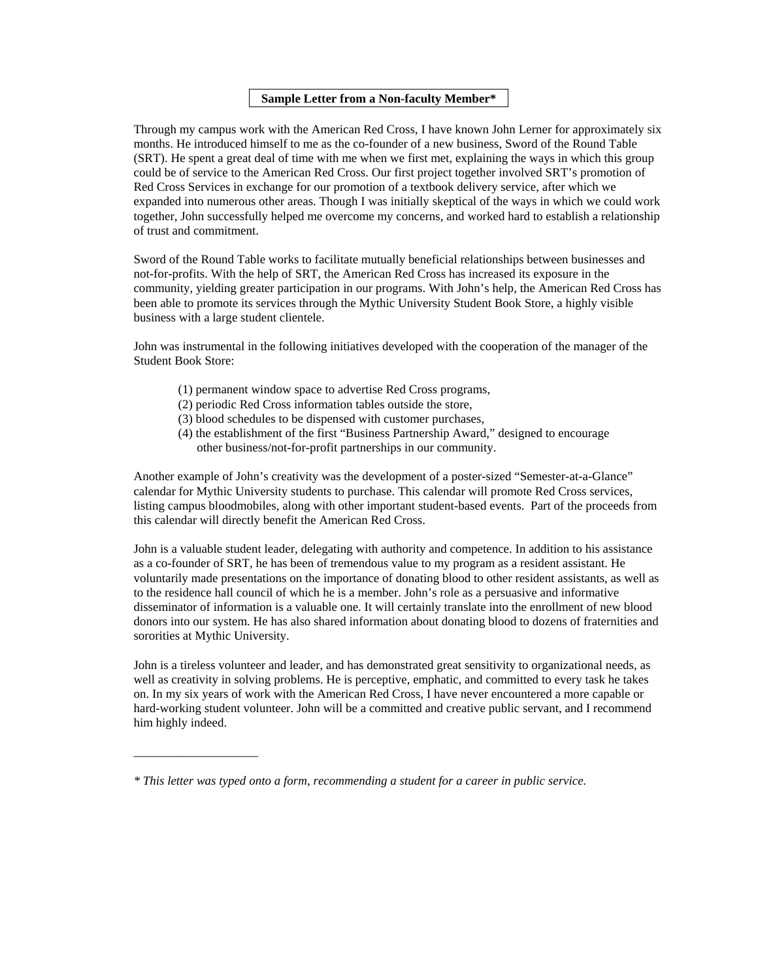### **Sample Letter from a Non-faculty Member\***

Through my campus work with the American Red Cross, I have known John Lerner for approximately six months. He introduced himself to me as the co-founder of a new business, Sword of the Round Table (SRT). He spent a great deal of time with me when we first met, explaining the ways in which this group could be of service to the American Red Cross. Our first project together involved SRT's promotion of Red Cross Services in exchange for our promotion of a textbook delivery service, after which we expanded into numerous other areas. Though I was initially skeptical of the ways in which we could work together, John successfully helped me overcome my concerns, and worked hard to establish a relationship of trust and commitment.

Sword of the Round Table works to facilitate mutually beneficial relationships between businesses and not-for-profits. With the help of SRT, the American Red Cross has increased its exposure in the community, yielding greater participation in our programs. With John's help, the American Red Cross has been able to promote its services through the Mythic University Student Book Store, a highly visible business with a large student clientele.

John was instrumental in the following initiatives developed with the cooperation of the manager of the Student Book Store:

- (1) permanent window space to advertise Red Cross programs,
- (2) periodic Red Cross information tables outside the store,
- (3) blood schedules to be dispensed with customer purchases,
- (4) the establishment of the first "Business Partnership Award," designed to encourage other business/not-for-profit partnerships in our community.

Another example of John's creativity was the development of a poster-sized "Semester-at-a-Glance" calendar for Mythic University students to purchase. This calendar will promote Red Cross services, listing campus bloodmobiles, along with other important student-based events. Part of the proceeds from this calendar will directly benefit the American Red Cross.

John is a valuable student leader, delegating with authority and competence. In addition to his assistance as a co-founder of SRT, he has been of tremendous value to my program as a resident assistant. He voluntarily made presentations on the importance of donating blood to other resident assistants, as well as to the residence hall council of which he is a member. John's role as a persuasive and informative disseminator of information is a valuable one. It will certainly translate into the enrollment of new blood donors into our system. He has also shared information about donating blood to dozens of fraternities and sororities at Mythic University.

John is a tireless volunteer and leader, and has demonstrated great sensitivity to organizational needs, as well as creativity in solving problems. He is perceptive, emphatic, and committed to every task he takes on. In my six years of work with the American Red Cross, I have never encountered a more capable or hard-working student volunteer. John will be a committed and creative public servant, and I recommend him highly indeed.

\_\_\_\_\_\_\_\_\_\_\_\_\_\_\_\_\_\_\_\_

*<sup>\*</sup> This letter was typed onto a form, recommending a student for a career in public service.*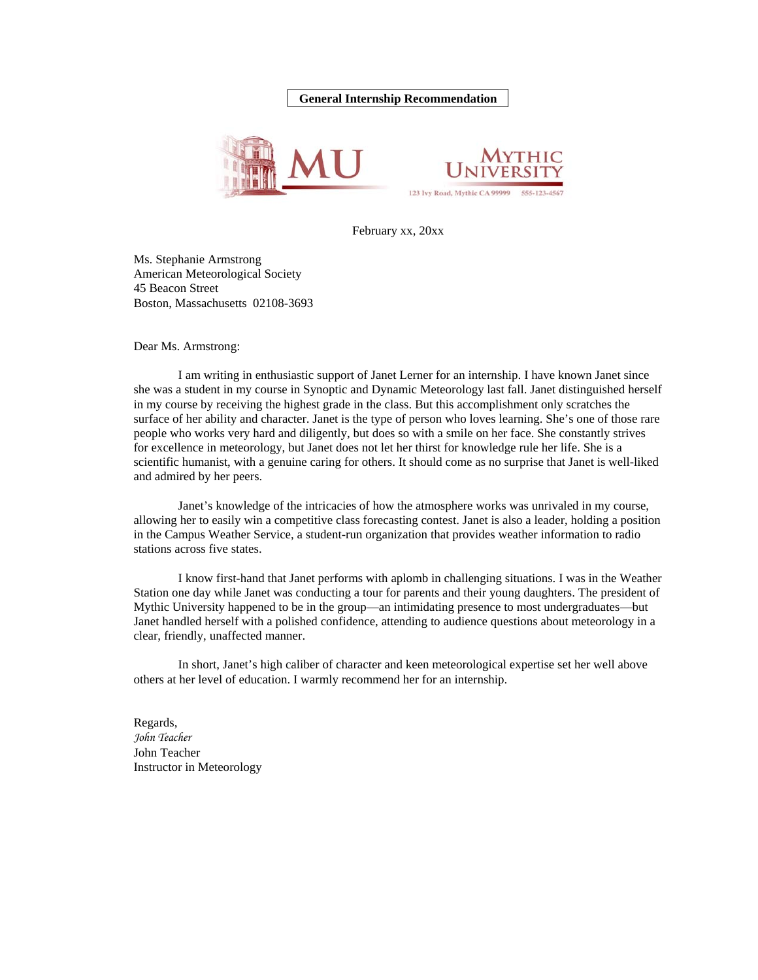#### **General Internship Recommendation**





February xx, 20xx

Ms. Stephanie Armstrong American Meteorological Society 45 Beacon Street Boston, Massachusetts 02108-3693

Dear Ms. Armstrong:

I am writing in enthusiastic support of Janet Lerner for an internship. I have known Janet since she was a student in my course in Synoptic and Dynamic Meteorology last fall. Janet distinguished herself in my course by receiving the highest grade in the class. But this accomplishment only scratches the surface of her ability and character. Janet is the type of person who loves learning. She's one of those rare people who works very hard and diligently, but does so with a smile on her face. She constantly strives for excellence in meteorology, but Janet does not let her thirst for knowledge rule her life. She is a scientific humanist, with a genuine caring for others. It should come as no surprise that Janet is well-liked and admired by her peers.

Janet's knowledge of the intricacies of how the atmosphere works was unrivaled in my course, allowing her to easily win a competitive class forecasting contest. Janet is also a leader, holding a position in the Campus Weather Service, a student-run organization that provides weather information to radio stations across five states.

I know first-hand that Janet performs with aplomb in challenging situations. I was in the Weather Station one day while Janet was conducting a tour for parents and their young daughters. The president of Mythic University happened to be in the group—an intimidating presence to most undergraduates—but Janet handled herself with a polished confidence, attending to audience questions about meteorology in a clear, friendly, unaffected manner.

In short, Janet's high caliber of character and keen meteorological expertise set her well above others at her level of education. I warmly recommend her for an internship.

Regards, *John Teacher*  John Teacher Instructor in Meteorology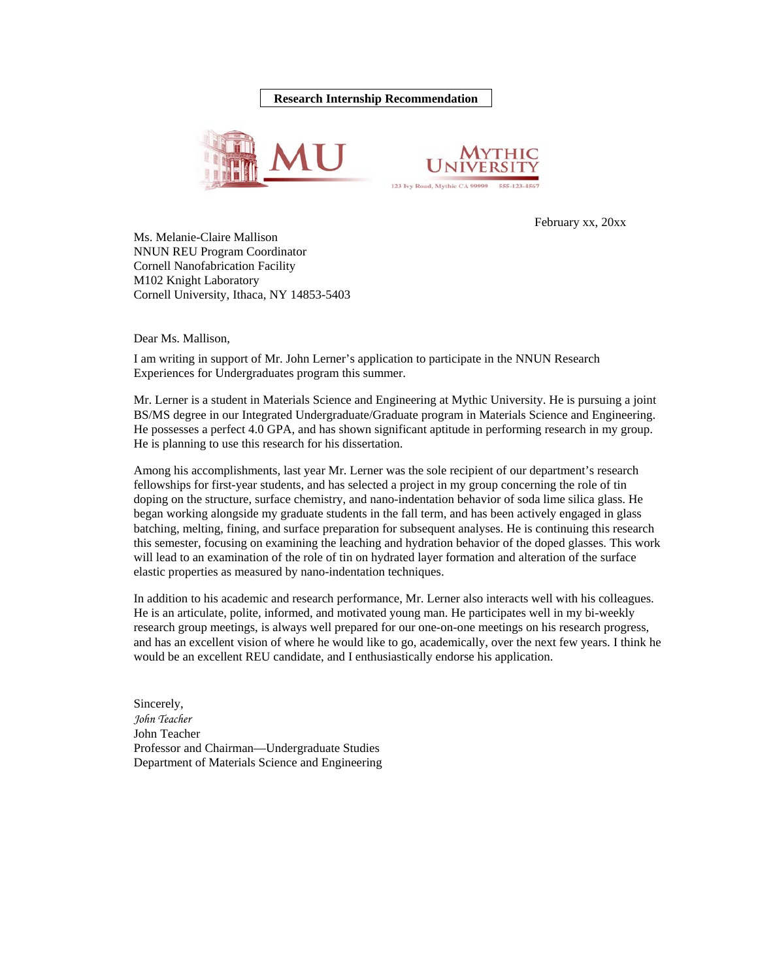### **Research Internship Recommendation**





February xx, 20xx

Ms. Melanie-Claire Mallison NNUN REU Program Coordinator Cornell Nanofabrication Facility M102 Knight Laboratory Cornell University, Ithaca, NY 14853-5403

Dear Ms. Mallison,

I am writing in support of Mr. John Lerner's application to participate in the NNUN Research Experiences for Undergraduates program this summer.

Mr. Lerner is a student in Materials Science and Engineering at Mythic University. He is pursuing a joint BS/MS degree in our Integrated Undergraduate/Graduate program in Materials Science and Engineering. He possesses a perfect 4.0 GPA, and has shown significant aptitude in performing research in my group. He is planning to use this research for his dissertation.

Among his accomplishments, last year Mr. Lerner was the sole recipient of our department's research fellowships for first-year students, and has selected a project in my group concerning the role of tin doping on the structure, surface chemistry, and nano-indentation behavior of soda lime silica glass. He began working alongside my graduate students in the fall term, and has been actively engaged in glass batching, melting, fining, and surface preparation for subsequent analyses. He is continuing this research this semester, focusing on examining the leaching and hydration behavior of the doped glasses. This work will lead to an examination of the role of tin on hydrated layer formation and alteration of the surface elastic properties as measured by nano-indentation techniques.

In addition to his academic and research performance, Mr. Lerner also interacts well with his colleagues. He is an articulate, polite, informed, and motivated young man. He participates well in my bi-weekly research group meetings, is always well prepared for our one-on-one meetings on his research progress, and has an excellent vision of where he would like to go, academically, over the next few years. I think he would be an excellent REU candidate, and I enthusiastically endorse his application.

Sincerely, *John Teacher*  John Teacher Professor and Chairman—Undergraduate Studies Department of Materials Science and Engineering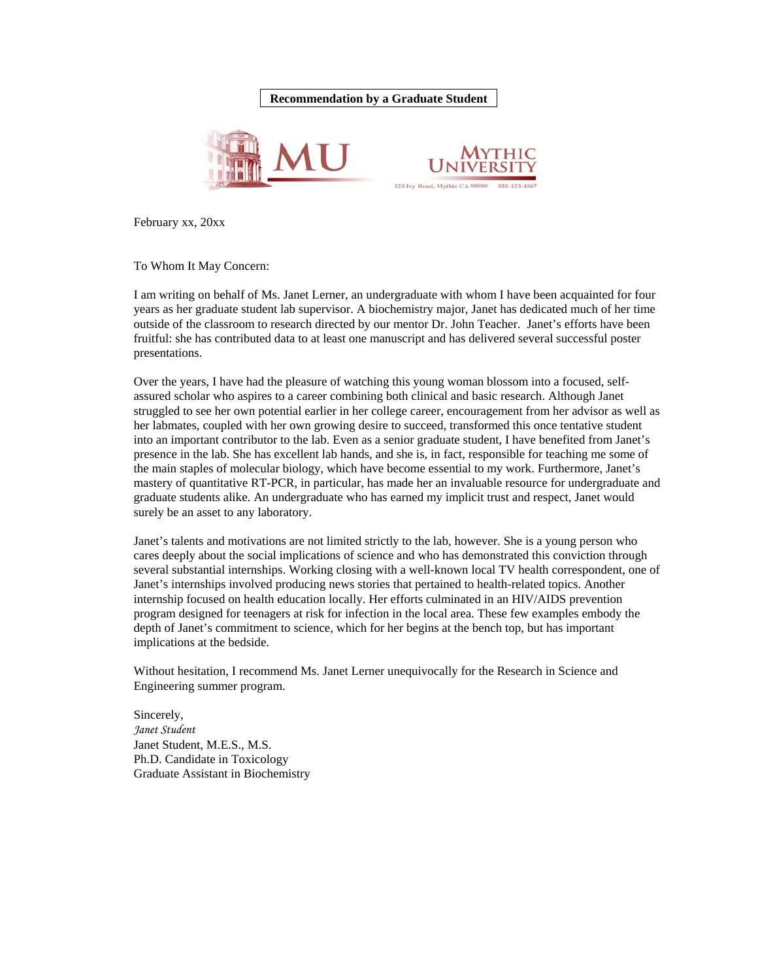# **Recommendation by a Graduate Student**





February xx, 20xx

To Whom It May Concern:

I am writing on behalf of Ms. Janet Lerner, an undergraduate with whom I have been acquainted for four years as her graduate student lab supervisor. A biochemistry major, Janet has dedicated much of her time outside of the classroom to research directed by our mentor Dr. John Teacher. Janet's efforts have been fruitful: she has contributed data to at least one manuscript and has delivered several successful poster presentations.

Over the years, I have had the pleasure of watching this young woman blossom into a focused, selfassured scholar who aspires to a career combining both clinical and basic research. Although Janet struggled to see her own potential earlier in her college career, encouragement from her advisor as well as her labmates, coupled with her own growing desire to succeed, transformed this once tentative student into an important contributor to the lab. Even as a senior graduate student, I have benefited from Janet's presence in the lab. She has excellent lab hands, and she is, in fact, responsible for teaching me some of the main staples of molecular biology, which have become essential to my work. Furthermore, Janet's mastery of quantitative RT-PCR, in particular, has made her an invaluable resource for undergraduate and graduate students alike. An undergraduate who has earned my implicit trust and respect, Janet would surely be an asset to any laboratory.

Janet's talents and motivations are not limited strictly to the lab, however. She is a young person who cares deeply about the social implications of science and who has demonstrated this conviction through several substantial internships. Working closing with a well-known local TV health correspondent, one of Janet's internships involved producing news stories that pertained to health-related topics. Another internship focused on health education locally. Her efforts culminated in an HIV/AIDS prevention program designed for teenagers at risk for infection in the local area. These few examples embody the depth of Janet's commitment to science, which for her begins at the bench top, but has important implications at the bedside.

Without hesitation, I recommend Ms. Janet Lerner unequivocally for the Research in Science and Engineering summer program.

Sincerely, *Janet Student*  Janet Student, M.E.S., M.S. Ph.D. Candidate in Toxicology Graduate Assistant in Biochemistry